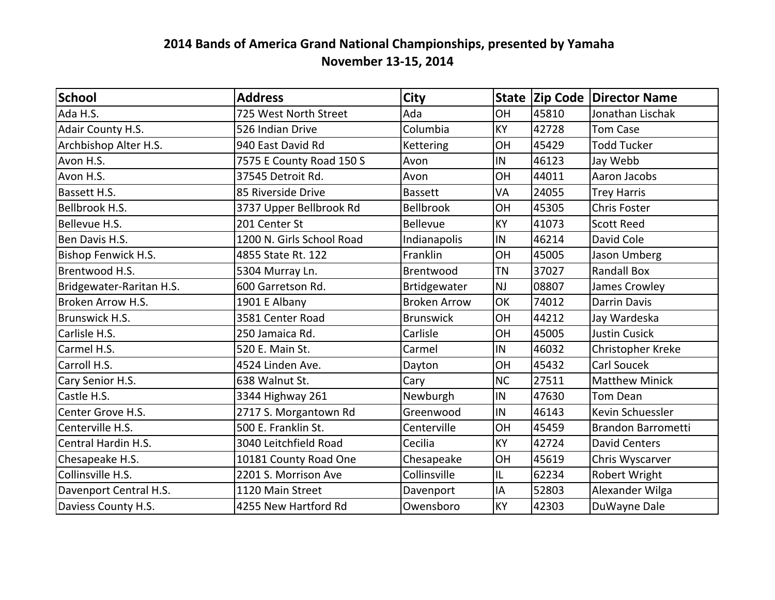| School                     | <b>Address</b>            | <b>City</b>         |           |       | State Zip Code Director Name |
|----------------------------|---------------------------|---------------------|-----------|-------|------------------------------|
| Ada H.S.                   | 725 West North Street     | Ada                 | <b>OH</b> | 45810 | Jonathan Lischak             |
| Adair County H.S.          | 526 Indian Drive          | Columbia            | KY        | 42728 | <b>Tom Case</b>              |
| Archbishop Alter H.S.      | 940 East David Rd         | Kettering           | OH        | 45429 | <b>Todd Tucker</b>           |
| Avon H.S.                  | 7575 E County Road 150 S  | Avon                | IN        | 46123 | Jay Webb                     |
| Avon H.S.                  | 37545 Detroit Rd.         | Avon                | OH        | 44011 | Aaron Jacobs                 |
| Bassett H.S.               | 85 Riverside Drive        | <b>Bassett</b>      | VA        | 24055 | <b>Trey Harris</b>           |
| Bellbrook H.S.             | 3737 Upper Bellbrook Rd   | <b>Bellbrook</b>    | OH        | 45305 | <b>Chris Foster</b>          |
| Bellevue H.S.              | 201 Center St             | <b>Bellevue</b>     | KY        | 41073 | <b>Scott Reed</b>            |
| Ben Davis H.S.             | 1200 N. Girls School Road | Indianapolis        | IN        | 46214 | David Cole                   |
| <b>Bishop Fenwick H.S.</b> | 4855 State Rt. 122        | Franklin            | OH        | 45005 | Jason Umberg                 |
| Brentwood H.S.             | 5304 Murray Ln.           | Brentwood           | <b>TN</b> | 37027 | <b>Randall Box</b>           |
| Bridgewater-Raritan H.S.   | 600 Garretson Rd.         | <b>Brtidgewater</b> | <b>NJ</b> | 08807 | James Crowley                |
| Broken Arrow H.S.          | 1901 E Albany             | <b>Broken Arrow</b> | OK        | 74012 | <b>Darrin Davis</b>          |
| Brunswick H.S.             | 3581 Center Road          | <b>Brunswick</b>    | OH        | 44212 | Jay Wardeska                 |
| Carlisle H.S.              | 250 Jamaica Rd.           | Carlisle            | OH        | 45005 | <b>Justin Cusick</b>         |
| Carmel H.S.                | 520 E. Main St.           | Carmel              | IN        | 46032 | Christopher Kreke            |
| Carroll H.S.               | 4524 Linden Ave.          | Dayton              | OH        | 45432 | <b>Carl Soucek</b>           |
| Cary Senior H.S.           | 638 Walnut St.            | Cary                | <b>NC</b> | 27511 | <b>Matthew Minick</b>        |
| Castle H.S.                | 3344 Highway 261          | Newburgh            | IN        | 47630 | <b>Tom Dean</b>              |
| Center Grove H.S.          | 2717 S. Morgantown Rd     | Greenwood           | IN        | 46143 | Kevin Schuessler             |
| Centerville H.S.           | 500 E. Franklin St.       | Centerville         | OH        | 45459 | <b>Brandon Barrometti</b>    |
| Central Hardin H.S.        | 3040 Leitchfield Road     | Cecilia             | KY        | 42724 | <b>David Centers</b>         |
| Chesapeake H.S.            | 10181 County Road One     | Chesapeake          | OH        | 45619 | Chris Wyscarver              |
| Collinsville H.S.          | 2201 S. Morrison Ave      | Collinsville        | IL        | 62234 | Robert Wright                |
| Davenport Central H.S.     | 1120 Main Street          | Davenport           | IA        | 52803 | Alexander Wilga              |
| Daviess County H.S.        | 4255 New Hartford Rd      | Owensboro           | KY        | 42303 | DuWayne Dale                 |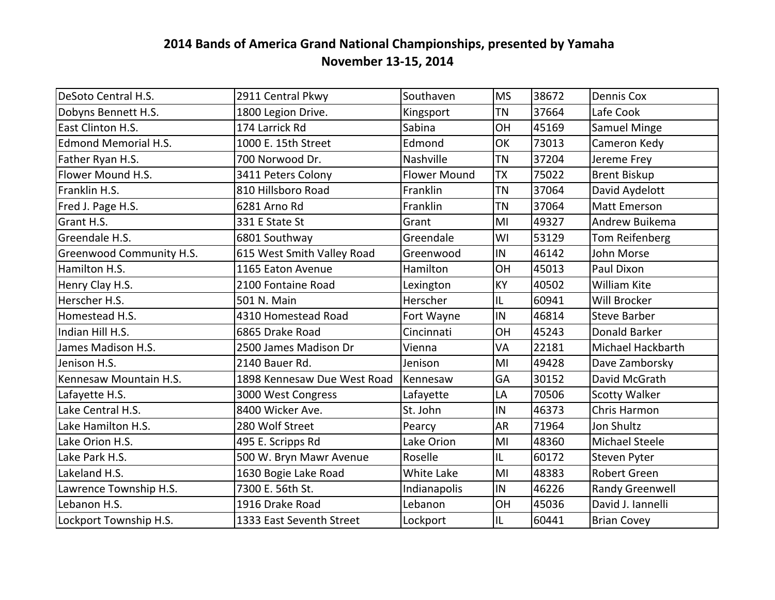| DeSoto Central H.S.         | 2911 Central Pkwy           | Southaven           | <b>MS</b> | 38672 | Dennis Cox             |
|-----------------------------|-----------------------------|---------------------|-----------|-------|------------------------|
| Dobyns Bennett H.S.         | 1800 Legion Drive.          | Kingsport           | <b>TN</b> | 37664 | Lafe Cook              |
| East Clinton H.S.           | 174 Larrick Rd              | Sabina              | OH        | 45169 | <b>Samuel Minge</b>    |
| <b>Edmond Memorial H.S.</b> | 1000 E. 15th Street         | Edmond              | OK        | 73013 | Cameron Kedy           |
| Father Ryan H.S.            | 700 Norwood Dr.             | Nashville           | <b>TN</b> | 37204 | Jereme Frey            |
| Flower Mound H.S.           | 3411 Peters Colony          | <b>Flower Mound</b> | <b>TX</b> | 75022 | <b>Brent Biskup</b>    |
| Franklin H.S.               | 810 Hillsboro Road          | Franklin            | <b>TN</b> | 37064 | David Aydelott         |
| Fred J. Page H.S.           | 6281 Arno Rd                | Franklin            | <b>TN</b> | 37064 | Matt Emerson           |
| Grant H.S.                  | 331 E State St              | Grant               | MI        | 49327 | Andrew Buikema         |
| Greendale H.S.              | 6801 Southway               | Greendale           | WI        | 53129 | Tom Reifenberg         |
| Greenwood Community H.S.    | 615 West Smith Valley Road  | Greenwood           | IN        | 46142 | John Morse             |
| Hamilton H.S.               | 1165 Eaton Avenue           | Hamilton            | OH        | 45013 | Paul Dixon             |
| Henry Clay H.S.             | 2100 Fontaine Road          | Lexington           | KY        | 40502 | <b>William Kite</b>    |
| Herscher H.S.               | 501 N. Main                 | Herscher            | IL        | 60941 | Will Brocker           |
| Homestead H.S.              | 4310 Homestead Road         | Fort Wayne          | IN        | 46814 | <b>Steve Barber</b>    |
| Indian Hill H.S.            | 6865 Drake Road             | Cincinnati          | OH        | 45243 | Donald Barker          |
| James Madison H.S.          | 2500 James Madison Dr       | Vienna              | VA        | 22181 | Michael Hackbarth      |
| Jenison H.S.                | 2140 Bauer Rd.              | Jenison             | MI        | 49428 | Dave Zamborsky         |
| Kennesaw Mountain H.S.      | 1898 Kennesaw Due West Road | Kennesaw            | GA        | 30152 | David McGrath          |
| Lafayette H.S.              | 3000 West Congress          | Lafayette           | LA        | 70506 | <b>Scotty Walker</b>   |
| Lake Central H.S.           | 8400 Wicker Ave.            | St. John            | IN        | 46373 | Chris Harmon           |
| Lake Hamilton H.S.          | 280 Wolf Street             | Pearcy              | <b>AR</b> | 71964 | Jon Shultz             |
| Lake Orion H.S.             | 495 E. Scripps Rd           | Lake Orion          | MI        | 48360 | <b>Michael Steele</b>  |
| Lake Park H.S.              | 500 W. Bryn Mawr Avenue     | Roselle             | IL        | 60172 | Steven Pyter           |
| Lakeland H.S.               | 1630 Bogie Lake Road        | White Lake          | MI        | 48383 | <b>Robert Green</b>    |
| Lawrence Township H.S.      | 7300 E. 56th St.            | Indianapolis        | IN        | 46226 | <b>Randy Greenwell</b> |
| Lebanon H.S.                | 1916 Drake Road             | Lebanon             | OH        | 45036 | David J. Iannelli      |
| Lockport Township H.S.      | 1333 East Seventh Street    | Lockport            | IL        | 60441 | <b>Brian Covey</b>     |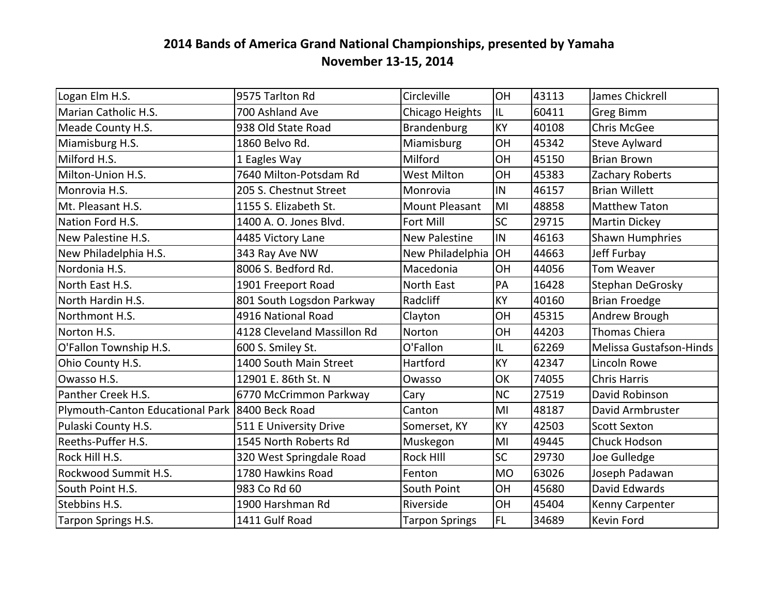| Logan Elm H.S.                                    | 9575 Tarlton Rd             | Circleville           | OH        | 43113 | James Chickrell                |
|---------------------------------------------------|-----------------------------|-----------------------|-----------|-------|--------------------------------|
| Marian Catholic H.S.                              | 700 Ashland Ave             | Chicago Heights       | IL        | 60411 | <b>Greg Bimm</b>               |
| Meade County H.S.                                 | 938 Old State Road          | <b>Brandenburg</b>    | KY        | 40108 | <b>Chris McGee</b>             |
| Miamisburg H.S.                                   | 1860 Belvo Rd.              | Miamisburg            | OH        | 45342 | Steve Aylward                  |
| Milford H.S.                                      | 1 Eagles Way                | Milford               | OH        | 45150 | <b>Brian Brown</b>             |
| Milton-Union H.S.                                 | 7640 Milton-Potsdam Rd      | <b>West Milton</b>    | <b>OH</b> | 45383 | Zachary Roberts                |
| Monrovia H.S.                                     | 205 S. Chestnut Street      | Monrovia              | IN        | 46157 | <b>Brian Willett</b>           |
| Mt. Pleasant H.S.                                 | 1155 S. Elizabeth St.       | <b>Mount Pleasant</b> | MI        | 48858 | <b>Matthew Taton</b>           |
| Nation Ford H.S.                                  | 1400 A. O. Jones Blvd.      | Fort Mill             | <b>SC</b> | 29715 | <b>Martin Dickey</b>           |
| New Palestine H.S.                                | 4485 Victory Lane           | <b>New Palestine</b>  | IN        | 46163 | <b>Shawn Humphries</b>         |
| New Philadelphia H.S.                             | 343 Ray Ave NW              | New Philadelphia      | OH        | 44663 | Jeff Furbay                    |
| Nordonia H.S.                                     | 8006 S. Bedford Rd.         | Macedonia             | <b>OH</b> | 44056 | Tom Weaver                     |
| North East H.S.                                   | 1901 Freeport Road          | North East            | PA        | 16428 | Stephan DeGrosky               |
| North Hardin H.S.                                 | 801 South Logsdon Parkway   | Radcliff              | KY        | 40160 | <b>Brian Froedge</b>           |
| Northmont H.S.                                    | 4916 National Road          | Clayton               | OH        | 45315 | Andrew Brough                  |
| Norton H.S.                                       | 4128 Cleveland Massillon Rd | Norton                | OH        | 44203 | <b>Thomas Chiera</b>           |
| O'Fallon Township H.S.                            | 600 S. Smiley St.           | O'Fallon              | IL.       | 62269 | <b>Melissa Gustafson-Hinds</b> |
| Ohio County H.S.                                  | 1400 South Main Street      | Hartford              | KY        | 42347 | Lincoln Rowe                   |
| Owasso H.S.                                       | 12901 E. 86th St. N         | Owasso                | OK        | 74055 | <b>Chris Harris</b>            |
| Panther Creek H.S.                                | 6770 McCrimmon Parkway      | Cary                  | <b>NC</b> | 27519 | David Robinson                 |
| Plymouth-Canton Educational Park   8400 Beck Road |                             | Canton                | MI        | 48187 | David Armbruster               |
| Pulaski County H.S.                               | 511 E University Drive      | Somerset, KY          | KY        | 42503 | <b>Scott Sexton</b>            |
| Reeths-Puffer H.S.                                | 1545 North Roberts Rd       | Muskegon              | MI        | 49445 | Chuck Hodson                   |
| Rock Hill H.S.                                    | 320 West Springdale Road    | <b>Rock HIII</b>      | <b>SC</b> | 29730 | Joe Gulledge                   |
| Rockwood Summit H.S.                              | 1780 Hawkins Road           | Fenton                | <b>MO</b> | 63026 | Joseph Padawan                 |
| South Point H.S.                                  | 983 Co Rd 60                | South Point           | OH        | 45680 | David Edwards                  |
| Stebbins H.S.                                     | 1900 Harshman Rd            | Riverside             | OH        | 45404 | Kenny Carpenter                |
| Tarpon Springs H.S.                               | 1411 Gulf Road              | <b>Tarpon Springs</b> | <b>FL</b> | 34689 | Kevin Ford                     |